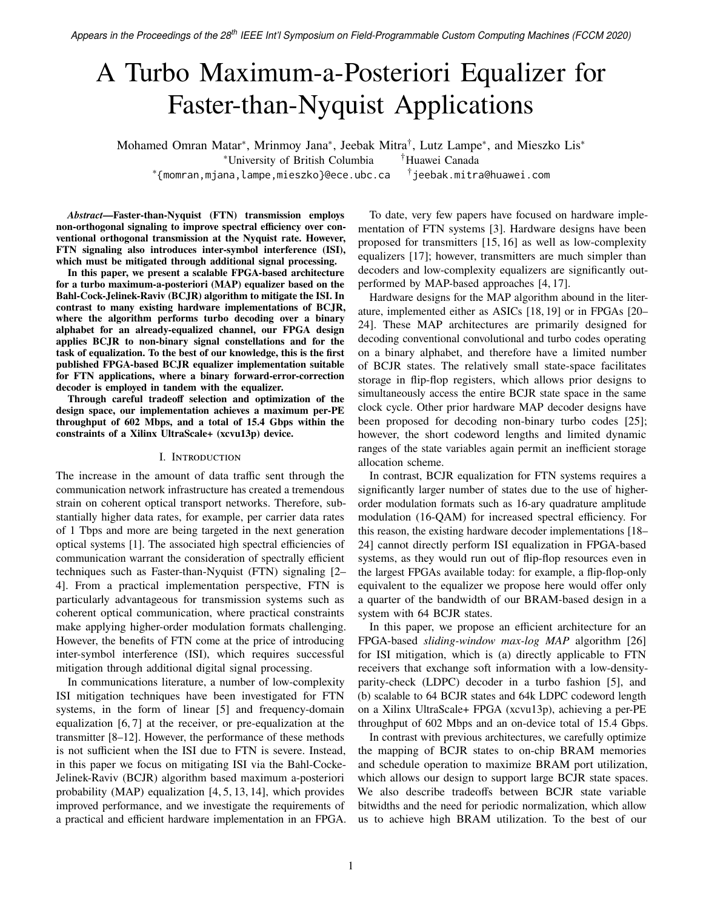# A Turbo Maximum-a-Posteriori Equalizer for Faster-than-Nyquist Applications

Mohamed Omran Matar<sup>∗</sup>, Mrinmoy Jana<sup>∗</sup>, Jeebak Mitra<sup>†</sup>, Lutz Lampe<sup>∗</sup>, and Mieszko Lis<sup>∗</sup> <sup>∗</sup>University of British Columbia †Huawei Canada ∗ {momran,mjana,lampe,mieszko}@ece.ubc.ca †  $\overline{a}$ jeebak.mitra@huawei.com

To date, very few papers have focused on hardware implementation of FTN systems [\[3\]](#page-4-10). Hardware designs have been proposed for transmitters [\[15,](#page-4-11) [16\]](#page-4-12) as well as low-complexity equalizers [\[17\]](#page-4-13); however, transmitters are much simpler than decoders and low-complexity equalizers are significantly outperformed by MAP-based approaches [\[4,](#page-4-2) [17\]](#page-4-13).

Hardware designs for the MAP algorithm abound in the literature, implemented either as ASICs [\[18,](#page-4-14) [19\]](#page-4-15) or in FPGAs [\[20–](#page-4-16) [24\]](#page-4-17). These MAP architectures are primarily designed for decoding conventional convolutional and turbo codes operating on a binary alphabet, and therefore have a limited number of BCJR states. The relatively small state-space facilitates storage in flip-flop registers, which allows prior designs to simultaneously access the entire BCJR state space in the same clock cycle. Other prior hardware MAP decoder designs have been proposed for decoding non-binary turbo codes [\[25\]](#page-4-18); however, the short codeword lengths and limited dynamic ranges of the state variables again permit an inefficient storage allocation scheme.

In contrast, BCJR equalization for FTN systems requires a significantly larger number of states due to the use of higherorder modulation formats such as 16-ary quadrature amplitude modulation (16-QAM) for increased spectral efficiency. For this reason, the existing hardware decoder implementations [\[18–](#page-4-14) [24\]](#page-4-17) cannot directly perform ISI equalization in FPGA-based systems, as they would run out of flip-flop resources even in the largest FPGAs available today: for example, a flip-flop-only equivalent to the equalizer we propose here would offer only a quarter of the bandwidth of our BRAM-based design in a system with 64 BCJR states.

In this paper, we propose an efficient architecture for an FPGA-based *sliding-window max-log MAP* algorithm [\[26\]](#page-4-19) for ISI mitigation, which is (a) directly applicable to FTN receivers that exchange soft information with a low-densityparity-check (LDPC) decoder in a turbo fashion [\[5\]](#page-4-3), and (b) scalable to 64 BCJR states and 64k LDPC codeword length on a Xilinx UltraScale+ FPGA (xcvu13p), achieving a per-PE throughput of 602 Mbps and an on-device total of 15.4 Gbps.

In contrast with previous architectures, we carefully optimize the mapping of BCJR states to on-chip BRAM memories and schedule operation to maximize BRAM port utilization, which allows our design to support large BCJR state spaces. We also describe tradeoffs between BCJR state variable bitwidths and the need for periodic normalization, which allow us to achieve high BRAM utilization. To the best of our

*Abstract***—Faster-than-Nyquist (FTN) transmission employs non-orthogonal signaling to improve spectral efficiency over conventional orthogonal transmission at the Nyquist rate. However, FTN signaling also introduces inter-symbol interference (ISI), which must be mitigated through additional signal processing.**

**In this paper, we present a scalable FPGA-based architecture for a turbo maximum-a-posteriori (MAP) equalizer based on the Bahl-Cock-Jelinek-Raviv (BCJR) algorithm to mitigate the ISI. In contrast to many existing hardware implementations of BCJR, where the algorithm performs turbo decoding over a binary alphabet for an already-equalized channel, our FPGA design applies BCJR to non-binary signal constellations and for the task of equalization. To the best of our knowledge, this is the first published FPGA-based BCJR equalizer implementation suitable for FTN applications, where a binary forward-error-correction decoder is employed in tandem with the equalizer.**

**Through careful tradeoff selection and optimization of the design space, our implementation achieves a maximum per-PE throughput of 602 Mbps, and a total of 15.4 Gbps within the constraints of a Xilinx UltraScale+ (xcvu13p) device.**

# I. Introduction

The increase in the amount of data traffic sent through the communication network infrastructure has created a tremendous strain on coherent optical transport networks. Therefore, substantially higher data rates, for example, per carrier data rates of 1 Tbps and more are being targeted in the next generation optical systems [\[1\]](#page-4-0). The associated high spectral efficiencies of communication warrant the consideration of spectrally efficient techniques such as Faster-than-Nyquist (FTN) signaling [\[2–](#page-4-1) [4\]](#page-4-2). From a practical implementation perspective, FTN is particularly advantageous for transmission systems such as coherent optical communication, where practical constraints make applying higher-order modulation formats challenging. However, the benefits of FTN come at the price of introducing inter-symbol interference (ISI), which requires successful mitigation through additional digital signal processing.

In communications literature, a number of low-complexity ISI mitigation techniques have been investigated for FTN systems, in the form of linear [\[5\]](#page-4-3) and frequency-domain equalization [\[6,](#page-4-4) [7\]](#page-4-5) at the receiver, or pre-equalization at the transmitter [\[8](#page-4-6)[–12\]](#page-4-7). However, the performance of these methods is not sufficient when the ISI due to FTN is severe. Instead, in this paper we focus on mitigating ISI via the Bahl-Cocke-Jelinek-Raviv (BCJR) algorithm based maximum a-posteriori probability (MAP) equalization [\[4,](#page-4-2) [5,](#page-4-3) [13,](#page-4-8) [14\]](#page-4-9), which provides improved performance, and we investigate the requirements of a practical and efficient hardware implementation in an FPGA.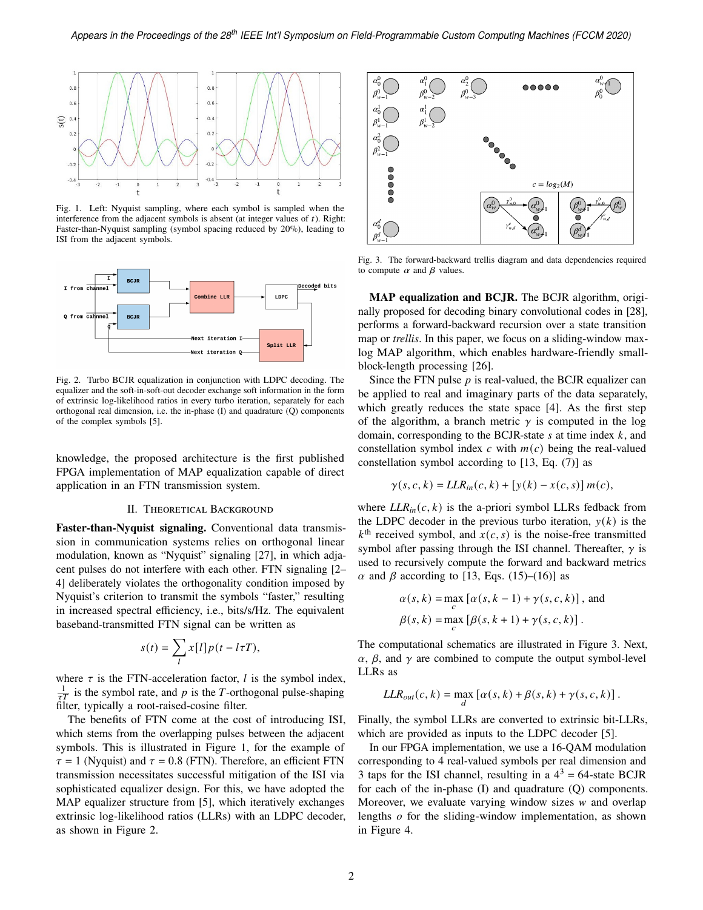

<span id="page-1-0"></span>Fig. 1. Left: Nyquist sampling, where each symbol is sampled when the interference from the adjacent symbols is absent (at integer values of  $t$ ). Right: Faster-than-Nyquist sampling (symbol spacing reduced by 20%), leading to ISI from the adjacent symbols.



<span id="page-1-1"></span>Fig. 2. Turbo BCJR equalization in conjunction with LDPC decoding. The equalizer and the soft-in-soft-out decoder exchange soft information in the form of extrinsic log-likelihood ratios in every turbo iteration, separately for each orthogonal real dimension, i.e. the in-phase (I) and quadrature (Q) components of the complex symbols [\[5\]](#page-4-3).

knowledge, the proposed architecture is the first published FPGA implementation of MAP equalization capable of direct application in an FTN transmission system.

### II. THEORETICAL BACKGROUND

**Faster-than-Nyquist signaling.** Conventional data transmission in communication systems relies on orthogonal linear modulation, known as "Nyquist" signaling [\[27\]](#page-4-20), in which adjacent pulses do not interfere with each other. FTN signaling [\[2–](#page-4-1) [4\]](#page-4-2) deliberately violates the orthogonality condition imposed by Nyquist's criterion to transmit the symbols "faster," resulting in increased spectral efficiency, i.e., bits/s/Hz. The equivalent baseband-transmitted FTN signal can be written as

$$
s(t) = \sum_{l} x[l] p(t - l\tau T),
$$

where  $\tau$  is the FTN-acceleration factor, *l* is the symbol index,  $\frac{1}{2}$  is the symbol rate, and p is the T-orthogonal pulse-shaping filter, typically a root-raised-cosine filter.

The benefits of FTN come at the cost of introducing ISI, which stems from the overlapping pulses between the adjacent symbols. This is illustrated in [Figure 1,](#page-1-0) for the example of  $\tau = 1$  (Nyquist) and  $\tau = 0.8$  (FTN). Therefore, an efficient FTN transmission necessitates successful mitigation of the ISI via sophisticated equalizer design. For this, we have adopted the MAP equalizer structure from [\[5\]](#page-4-3), which iteratively exchanges extrinsic log-likelihood ratios (LLRs) with an LDPC decoder, as shown in [Figure 2.](#page-1-1)



<span id="page-1-2"></span>Fig. 3. The forward-backward trellis diagram and data dependencies required to compute  $\alpha$  and  $\beta$  values.

**MAP equalization and BCJR.** The BCJR algorithm, originally proposed for decoding binary convolutional codes in [\[28\]](#page-4-21), performs a forward-backward recursion over a state transition map or *trellis*. In this paper, we focus on a sliding-window maxlog MAP algorithm, which enables hardware-friendly smallblock-length processing [\[26\]](#page-4-19).

Since the FTN pulse  $p$  is real-valued, the BCJR equalizer can be applied to real and imaginary parts of the data separately, which greatly reduces the state space [\[4\]](#page-4-2). As the first step of the algorithm, a branch metric  $\gamma$  is computed in the log domain, corresponding to the BCJR-state  $s$  at time index  $k$ , and constellation symbol index  $c$  with  $m(c)$  being the real-valued constellation symbol according to [\[13,](#page-4-8) Eq. (7)] as

$$
\gamma(s,c,k) = LLR_{in}(c,k) + [y(k) - x(c,s)]m(c),
$$

where  $LLR<sub>in</sub>(c, k)$  is the a-priori symbol LLRs fedback from the LDPC decoder in the previous turbo iteration,  $y(k)$  is the  $k^{\text{th}}$  received symbol, and  $x(c, s)$  is the noise-free transmitted symbol after passing through the ISI channel. Thereafter,  $\gamma$  is used to recursively compute the forward and backward metrics  $\alpha$  and  $\beta$  according to [\[13,](#page-4-8) Eqs. (15)–(16)] as

$$
\alpha(s, k) = \max_{c} [\alpha(s, k - 1) + \gamma(s, c, k)],
$$
 and  

$$
\beta(s, k) = \max_{c} [\beta(s, k + 1) + \gamma(s, c, k)].
$$

The computational schematics are illustrated in [Figure 3.](#page-1-2) Next,  $\alpha$ ,  $\beta$ , and  $\gamma$  are combined to compute the output symbol-level LLRs as

$$
LLR_{out}(c, k) = \max_{d} [\alpha(s, k) + \beta(s, k) + \gamma(s, c, k)].
$$

Finally, the symbol LLRs are converted to extrinsic bit-LLRs, which are provided as inputs to the LDPC decoder [\[5\]](#page-4-3).

In our FPGA implementation, we use a 16-QAM modulation corresponding to 4 real-valued symbols per real dimension and 3 taps for the ISI channel, resulting in a  $4^3 = 64$ -state BCJR for each of the in-phase (I) and quadrature (Q) components. Moreover, we evaluate varying window sizes  $w$  and overlap lengths  $o$  for the sliding-window implementation, as shown in [Figure 4.](#page-2-0)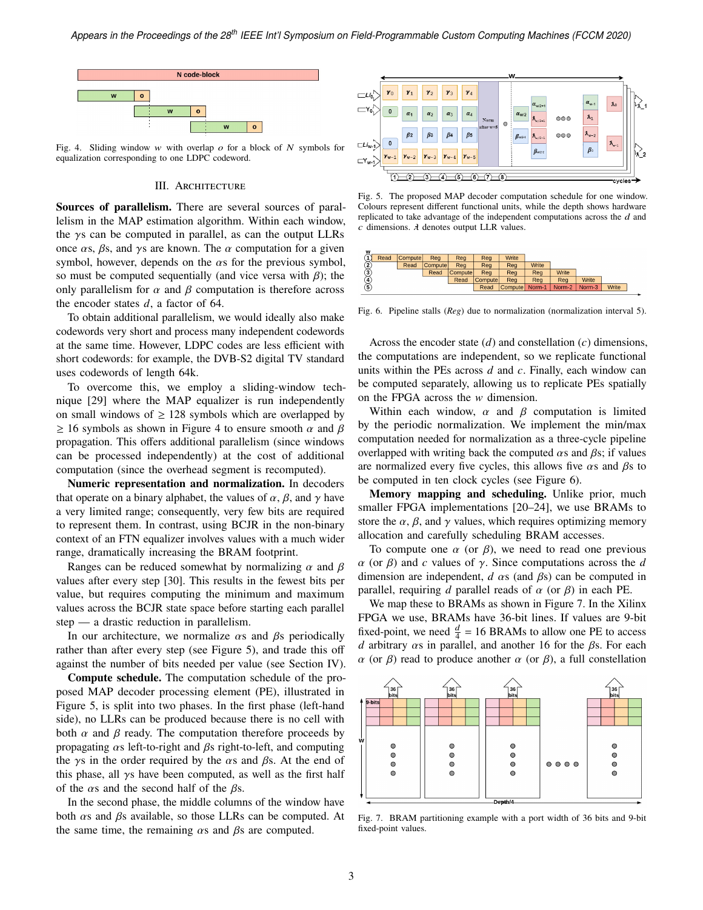

<span id="page-2-0"></span>Fig. 4. Sliding window w with overlap  $\sigma$  for a block of N symbols for equalization corresponding to one LDPC codeword.

### III. ARCHITECTURE

**Sources of parallelism.** There are several sources of parallelism in the MAP estimation algorithm. Within each window, the  $\gamma$ s can be computed in parallel, as can the output LLRs once  $\alpha$ s,  $\beta$ s, and  $\gamma$ s are known. The  $\alpha$  computation for a given symbol, however, depends on the  $\alpha$ s for the previous symbol, so must be computed sequentially (and vice versa with  $\beta$ ); the only parallelism for  $\alpha$  and  $\beta$  computation is therefore across the encoder states  $d$ , a factor of 64.

To obtain additional parallelism, we would ideally also make codewords very short and process many independent codewords at the same time. However, LDPC codes are less efficient with short codewords: for example, the DVB-S2 digital TV standard uses codewords of length 64k.

To overcome this, we employ a sliding-window technique [\[29\]](#page-4-22) where the MAP equalizer is run independently on small windows of  $\geq 128$  symbols which are overlapped by  $\geq$  16 symbols as shown in [Figure 4](#page-2-0) to ensure smooth  $\alpha$  and  $\beta$ propagation. This offers additional parallelism (since windows can be processed independently) at the cost of additional computation (since the overhead segment is recomputed).

**Numeric representation and normalization.** In decoders that operate on a binary alphabet, the values of  $\alpha$ ,  $\beta$ , and  $\gamma$  have a very limited range; consequently, very few bits are required to represent them. In contrast, using BCJR in the non-binary context of an FTN equalizer involves values with a much wider range, dramatically increasing the BRAM footprint.

Ranges can be reduced somewhat by normalizing  $\alpha$  and  $\beta$ values after every step [\[30\]](#page-4-23). This results in the fewest bits per value, but requires computing the minimum and maximum values across the BCJR state space before starting each parallel step — a drastic reduction in parallelism.

In our architecture, we normalize  $\alpha$ s and  $\beta$ s periodically rather than after every step (see [Figure 5\)](#page-2-1), and trade this off against the number of bits needed per value (see [Section IV\)](#page-3-0).

**Compute schedule.** The computation schedule of the proposed MAP decoder processing element (PE), illustrated in [Figure 5,](#page-2-1) is split into two phases. In the first phase (left-hand side), no LLRs can be produced because there is no cell with both  $\alpha$  and  $\beta$  ready. The computation therefore proceeds by propagating  $\alpha$ s left-to-right and  $\beta$ s right-to-left, and computing the  $\gamma$ s in the order required by the  $\alpha$ s and  $\beta$ s. At the end of this phase, all  $\gamma$ s have been computed, as well as the first half of the  $\alpha$ s and the second half of the  $\beta$ s.

In the second phase, the middle columns of the window have both  $\alpha$ s and  $\beta$ s available, so those LLRs can be computed. At the same time, the remaining  $\alpha$ s and  $\beta$ s are computed.



<span id="page-2-1"></span>Fig. 5. The proposed MAP decoder computation schedule for one window. Colours represent different functional units, while the depth shows hardware replicated to take advantage of the independent computations across the  $d$  and  $c$  dimensions.  $\lambda$  denotes output LLR values.



<span id="page-2-2"></span>Fig. 6. Pipeline stalls (*Reg*) due to normalization (normalization interval 5).

Across the encoder state  $(d)$  and constellation  $(c)$  dimensions, the computations are independent, so we replicate functional units within the PEs across  $d$  and  $c$ . Finally, each window can be computed separately, allowing us to replicate PEs spatially on the FPGA across the  $w$  dimension.

Within each window,  $\alpha$  and  $\beta$  computation is limited by the periodic normalization. We implement the min/max computation needed for normalization as a three-cycle pipeline overlapped with writing back the computed  $\alpha$ s and  $\beta$ s; if values are normalized every five cycles, this allows five  $\alpha$ s and  $\beta$ s to be computed in ten clock cycles (see [Figure 6\)](#page-2-2).

**Memory mapping and scheduling.** Unlike prior, much smaller FPGA implementations [\[20](#page-4-16)[–24\]](#page-4-17), we use BRAMs to store the  $\alpha$ ,  $\beta$ , and  $\gamma$  values, which requires optimizing memory allocation and carefully scheduling BRAM accesses.

To compute one  $\alpha$  (or  $\beta$ ), we need to read one previous  $\alpha$  (or  $\beta$ ) and c values of  $\gamma$ . Since computations across the d dimension are independent,  $d \alpha s$  (and  $\beta s$ ) can be computed in parallel, requiring  $d$  parallel reads of  $\alpha$  (or  $\beta$ ) in each PE.

We map these to BRAMs as shown in [Figure 7.](#page-2-3) In the Xilinx FPGA we use, BRAMs have 36-bit lines. If values are 9-bit fixed-point, we need  $\frac{d}{4} = 16$  BRAMs to allow one PE to access d arbitrary  $\alpha$ s in parallel, and another 16 for the  $\beta$ s. For each  $\alpha$  (or  $\beta$ ) read to produce another  $\alpha$  (or  $\beta$ ), a full constellation



<span id="page-2-3"></span>Fig. 7. BRAM partitioning example with a port width of 36 bits and 9-bit fixed-point values.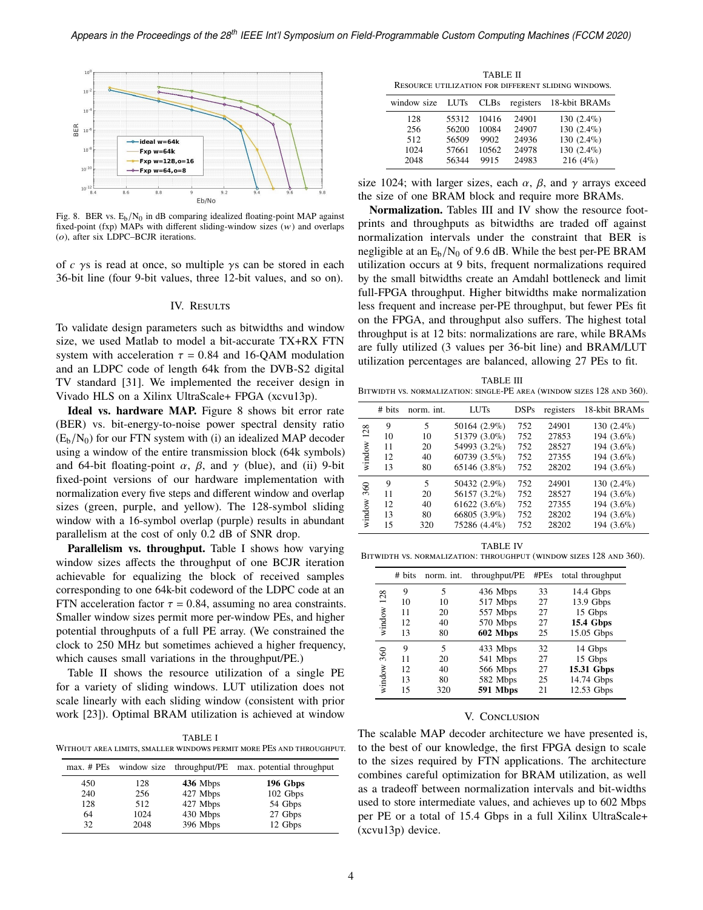

<span id="page-3-1"></span>Fig. 8. BER vs.  $E_b/N_0$  in dB comparing idealized floating-point MAP against fixed-point (fxp) MAPs with different sliding-window sizes  $(w)$  and overlaps  $(o)$ , after six LDPC–BCJR iterations.

of  $c \gamma s$  is read at once, so multiple  $\gamma s$  can be stored in each 36-bit line (four 9-bit values, three 12-bit values, and so on).

# IV. RESULTS

<span id="page-3-0"></span>To validate design parameters such as bitwidths and window size, we used Matlab to model a bit-accurate TX+RX FTN system with acceleration  $\tau = 0.84$  and 16-QAM modulation and an LDPC code of length 64k from the DVB-S2 digital TV standard [\[31\]](#page-4-24). We implemented the receiver design in Vivado HLS on a Xilinx UltraScale+ FPGA (xcvu13p).

**Ideal vs. hardware MAP.** [Figure 8](#page-3-1) shows bit error rate (BER) vs. bit-energy-to-noise power spectral density ratio  $(E_b/N_0)$  for our FTN system with (i) an idealized MAP decoder using a window of the entire transmission block (64k symbols) and 64-bit floating-point  $\alpha$ ,  $\beta$ , and  $\gamma$  (blue), and (ii) 9-bit fixed-point versions of our hardware implementation with normalization every five steps and different window and overlap sizes (green, purple, and yellow). The 128-symbol sliding window with a 16-symbol overlap (purple) results in abundant parallelism at the cost of only 0.2 dB of SNR drop.

**Parallelism vs. throughput.** [Table I](#page-3-2) shows how varying window sizes affects the throughput of one BCJR iteration achievable for equalizing the block of received samples corresponding to one 64k-bit codeword of the LDPC code at an FTN acceleration factor  $\tau = 0.84$ , assuming no area constraints. Smaller window sizes permit more per-window PEs, and higher potential throughputs of a full PE array. (We constrained the clock to 250 MHz but sometimes achieved a higher frequency, which causes small variations in the throughput/PE.)

[Table II](#page-3-3) shows the resource utilization of a single PE for a variety of sliding windows. LUT utilization does not scale linearly with each sliding window (consistent with prior work [\[23\]](#page-4-25)). Optimal BRAM utilization is achieved at window

<span id="page-3-2"></span>TABLE I Without area limits, smaller windows permit more PEs and throughput.

|     | max. # PEs window size |          | throughput/PE max. potential throughput |
|-----|------------------------|----------|-----------------------------------------|
| 450 | 128                    | 436 Mbps | 196 Gbps                                |
| 240 | 256                    | 427 Mbps | 102 Gbps                                |
| 128 | 512                    | 427 Mbps | 54 Gbps                                 |
| 64  | 1024                   | 430 Mbps | 27 Gbps                                 |
| 32  | 2048                   | 396 Mbps | 12 Gbps                                 |

TABLE II Resource utilization for different sliding windows.

<span id="page-3-3"></span>

| window size | <b>LUTs</b> | <b>CLBs</b> | registers | 18-kbit BRAMs |
|-------------|-------------|-------------|-----------|---------------|
| 128         | 55312       | 10416       | 24901     | 130 $(2.4\%)$ |
| 256         | 56200       | 10084       | 24907     | 130 $(2.4\%)$ |
| 512         | 56509       | 9902        | 24936     | 130 $(2.4\%)$ |
| 1024        | 57661       | 10562       | 24978     | 130 $(2.4\%)$ |
| 2048        | 56344       | 9915        | 24983     | $216(4\%)$    |
|             |             |             |           |               |

size 1024; with larger sizes, each  $\alpha$ ,  $\beta$ , and  $\gamma$  arrays exceed the size of one BRAM block and require more BRAMs.

**Normalization.** Tables [III](#page-3-4) and [IV](#page-3-5) show the resource footprints and throughputs as bitwidths are traded off against normalization intervals under the constraint that BER is negligible at an  $E_b/N_0$  of 9.6 dB. While the best per-PE BRAM utilization occurs at 9 bits, frequent normalizations required by the small bitwidths create an Amdahl bottleneck and limit full-FPGA throughput. Higher bitwidths make normalization less frequent and increase per-PE throughput, but fewer PEs fit on the FPGA, and throughput also suffers. The highest total throughput is at 12 bits: normalizations are rare, while BRAMs are fully utilized (3 values per 36-bit line) and BRAM/LUT utilization percentages are balanced, allowing 27 PEs to fit.

<span id="page-3-4"></span>TABLE III Bitwidth vs. normalization: single-PE area (window sizes 128 and 360).

|        | # bits | norm. int. | <b>LUTs</b>    | <b>DSPs</b> | registers | 18-kbit BRAMs |
|--------|--------|------------|----------------|-------------|-----------|---------------|
| 128    | 9      | 5          | 50164 (2.9%)   | 752         | 24901     | $130(2.4\%)$  |
|        | 10     | 10         | 51379 (3.0%)   | 752         | 27853     | 194 (3.6%)    |
|        | 11     | 20         | 54993 (3.2%)   | 752         | 28527     | 194 (3.6%)    |
| window | 12     | 40         | 60739 (3.5%)   | 752         | 27355     | 194 (3.6%)    |
|        | 13     | 80         | 65146 (3.8%)   | 752         | 28202     | 194 (3.6%)    |
| 360    | 9      | 5          | 50432 (2.9%)   | 752         | 24901     | $130(2.4\%)$  |
|        | 11     | 20         | 56157 (3.2%)   | 752         | 28527     | 194 (3.6%)    |
|        | 12     | 40         | $61622(3.6\%)$ | 752         | 27355     | 194 (3.6%)    |
| window | 13     | 80         | 66805 (3.9%)   | 752         | 28202     | 194 (3.6%)    |
|        | 15     | 320        | 75286 (4.4%)   | 752         | 28202     | 194 (3.6%)    |

TABLE IV

<span id="page-3-5"></span>Bitwidth vs. normalization: throughput (window sizes 128 and 360).

|        | # bits | norm. int. | throughput/PE | #PEs | total throughput |
|--------|--------|------------|---------------|------|------------------|
|        | 9      | 5          | 436 Mbps      | 33   | 14.4 Gbps        |
| 128    | 10     | 10         | 517 Mbps      | 27   | 13.9 Gbps        |
|        | 11     | 20         | 557 Mbps      | 27   | 15 Gbps          |
| window | 12     | 40         | 570 Mbps      | 27   | <b>15.4 Gbps</b> |
|        | 13     | 80         | 602 Mbps      | 25   | 15.05 Gbps       |
| 360    | 9      | 5          | 433 Mbps      | 32   | 14 Gbps          |
|        | 11     | 20         | 541 Mbps      | 27   | 15 Gbps          |
|        | 12     | 40         | 566 Mbps      | 27   | 15.31 Gbps       |
| window | 13     | 80         | 582 Mbps      | 25   | 14.74 Gbps       |
|        | 15     | 320        | 591 Mbps      | 21   | 12.53 Gbps       |

# V. CONCLUSION

The scalable MAP decoder architecture we have presented is, to the best of our knowledge, the first FPGA design to scale to the sizes required by FTN applications. The architecture combines careful optimization for BRAM utilization, as well as a tradeoff between normalization intervals and bit-widths used to store intermediate values, and achieves up to 602 Mbps per PE or a total of 15.4 Gbps in a full Xilinx UltraScale+ (xcvu13p) device.